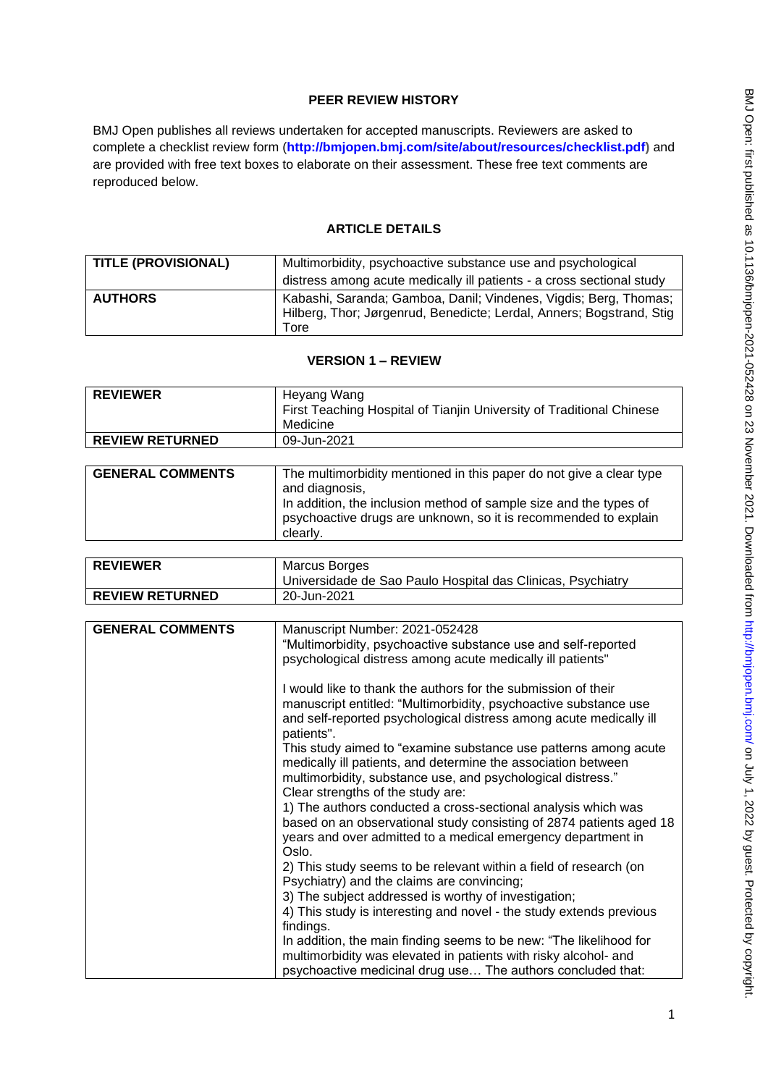# **PEER REVIEW HISTORY**

BMJ Open publishes all reviews undertaken for accepted manuscripts. Reviewers are asked to complete a checklist review form (**[http://bmjopen.bmj.com/site/about/resources/checklist.pdf\)](http://bmjopen.bmj.com/site/about/resources/checklist.pdf)** and are provided with free text boxes to elaborate on their assessment. These free text comments are reproduced below.

# **ARTICLE DETAILS**

| <b>TITLE (PROVISIONAL)</b> | Multimorbidity, psychoactive substance use and psychological<br>distress among acute medically ill patients - a cross sectional study            |
|----------------------------|--------------------------------------------------------------------------------------------------------------------------------------------------|
| <b>AUTHORS</b>             | Kabashi, Saranda; Gamboa, Danil; Vindenes, Vigdis; Berg, Thomas;<br>Hilberg, Thor; Jørgenrud, Benedicte; Lerdal, Anners; Bogstrand, Stig<br>Tore |

# **VERSION 1 – REVIEW**

| <b>REVIEWER</b>        | Heyang Wang<br>First Teaching Hospital of Tianjin University of Traditional Chinese |
|------------------------|-------------------------------------------------------------------------------------|
|                        | Medicine                                                                            |
| <b>REVIEW RETURNED</b> | 09-Jun-2021                                                                         |

| <b>GENERAL COMMENTS</b> | The multimorbidity mentioned in this paper do not give a clear type<br>and diagnosis,<br>In addition, the inclusion method of sample size and the types of<br>psychoactive drugs are unknown, so it is recommended to explain |
|-------------------------|-------------------------------------------------------------------------------------------------------------------------------------------------------------------------------------------------------------------------------|
|                         | clearly.                                                                                                                                                                                                                      |

| <b>REVIEWER</b>        | Marcus Borges<br>Universidade de Sao Paulo Hospital das Clinicas, Psychiatry |
|------------------------|------------------------------------------------------------------------------|
| <b>REVIEW RETURNED</b> | 20-Jun-2021                                                                  |

| <b>GENERAL COMMENTS</b> | Manuscript Number: 2021-052428                                      |
|-------------------------|---------------------------------------------------------------------|
|                         | "Multimorbidity, psychoactive substance use and self-reported       |
|                         | psychological distress among acute medically ill patients"          |
|                         |                                                                     |
|                         | I would like to thank the authors for the submission of their       |
|                         | manuscript entitled: "Multimorbidity, psychoactive substance use    |
|                         | and self-reported psychological distress among acute medically ill  |
|                         | patients".                                                          |
|                         | This study aimed to "examine substance use patterns among acute     |
|                         | medically ill patients, and determine the association between       |
|                         | multimorbidity, substance use, and psychological distress."         |
|                         | Clear strengths of the study are:                                   |
|                         | 1) The authors conducted a cross-sectional analysis which was       |
|                         | based on an observational study consisting of 2874 patients aged 18 |
|                         | years and over admitted to a medical emergency department in        |
|                         | Oslo.                                                               |
|                         | 2) This study seems to be relevant within a field of research (on   |
|                         | Psychiatry) and the claims are convincing;                          |
|                         | 3) The subject addressed is worthy of investigation;                |
|                         | 4) This study is interesting and novel - the study extends previous |
|                         | findings.                                                           |
|                         | In addition, the main finding seems to be new: "The likelihood for  |
|                         | multimorbidity was elevated in patients with risky alcohol- and     |
|                         | psychoactive medicinal drug use The authors concluded that:         |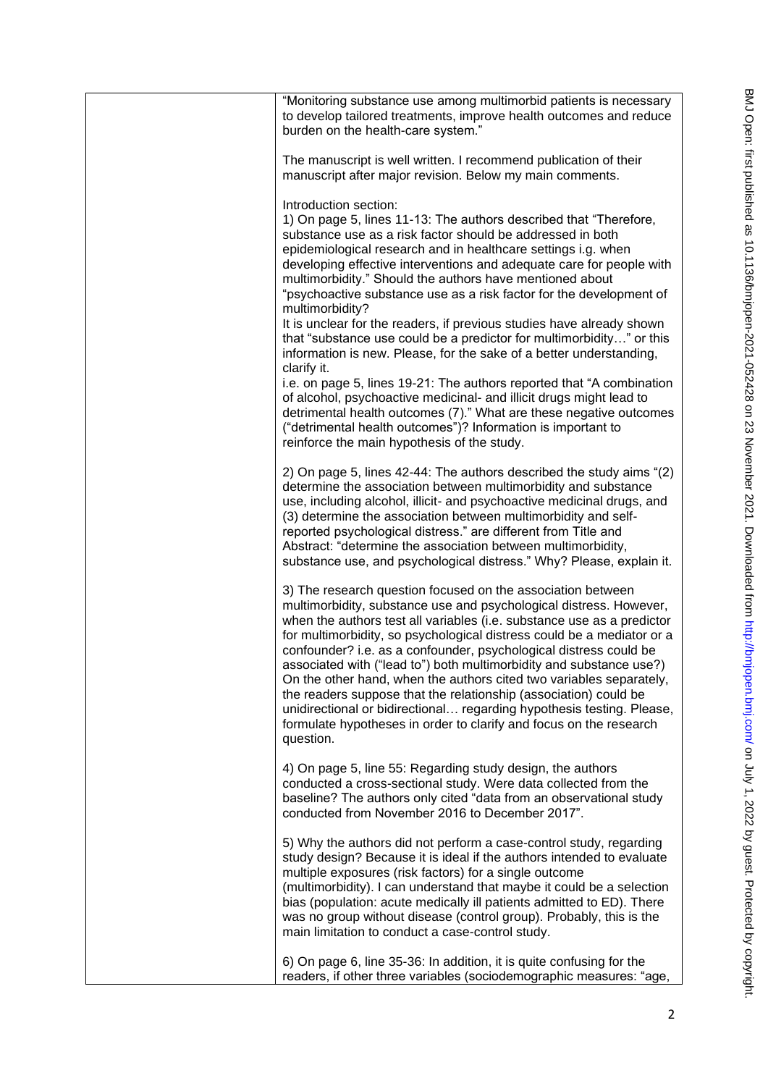| "Monitoring substance use among multimorbid patients is necessary<br>to develop tailored treatments, improve health outcomes and reduce<br>burden on the health-care system."                                                                                                                                                                                                                                                                                                                                                                                                                                                                                                                                                            |
|------------------------------------------------------------------------------------------------------------------------------------------------------------------------------------------------------------------------------------------------------------------------------------------------------------------------------------------------------------------------------------------------------------------------------------------------------------------------------------------------------------------------------------------------------------------------------------------------------------------------------------------------------------------------------------------------------------------------------------------|
| The manuscript is well written. I recommend publication of their<br>manuscript after major revision. Below my main comments.                                                                                                                                                                                                                                                                                                                                                                                                                                                                                                                                                                                                             |
| Introduction section:<br>1) On page 5, lines 11-13: The authors described that "Therefore,<br>substance use as a risk factor should be addressed in both<br>epidemiological research and in healthcare settings i.g. when<br>developing effective interventions and adequate care for people with<br>multimorbidity." Should the authors have mentioned about<br>"psychoactive substance use as a risk factor for the development of<br>multimorbidity?                                                                                                                                                                                                                                                                                  |
| It is unclear for the readers, if previous studies have already shown<br>that "substance use could be a predictor for multimorbidity" or this<br>information is new. Please, for the sake of a better understanding,<br>clarify it.                                                                                                                                                                                                                                                                                                                                                                                                                                                                                                      |
| i.e. on page 5, lines 19-21: The authors reported that "A combination<br>of alcohol, psychoactive medicinal- and illicit drugs might lead to<br>detrimental health outcomes (7)." What are these negative outcomes<br>("detrimental health outcomes")? Information is important to<br>reinforce the main hypothesis of the study.                                                                                                                                                                                                                                                                                                                                                                                                        |
| 2) On page 5, lines 42-44: The authors described the study aims "(2)<br>determine the association between multimorbidity and substance<br>use, including alcohol, illicit- and psychoactive medicinal drugs, and<br>(3) determine the association between multimorbidity and self-<br>reported psychological distress." are different from Title and<br>Abstract: "determine the association between multimorbidity,<br>substance use, and psychological distress." Why? Please, explain it.                                                                                                                                                                                                                                             |
| 3) The research question focused on the association between<br>multimorbidity, substance use and psychological distress. However,<br>when the authors test all variables (i.e. substance use as a predictor<br>for multimorbidity, so psychological distress could be a mediator or a<br>confounder? i.e. as a confounder, psychological distress could be<br>associated with ("lead to") both multimorbidity and substance use?)<br>On the other hand, when the authors cited two variables separately,<br>the readers suppose that the relationship (association) could be<br>unidirectional or bidirectional regarding hypothesis testing. Please,<br>formulate hypotheses in order to clarify and focus on the research<br>question. |
| 4) On page 5, line 55: Regarding study design, the authors<br>conducted a cross-sectional study. Were data collected from the<br>baseline? The authors only cited "data from an observational study<br>conducted from November 2016 to December 2017".                                                                                                                                                                                                                                                                                                                                                                                                                                                                                   |
| 5) Why the authors did not perform a case-control study, regarding<br>study design? Because it is ideal if the authors intended to evaluate<br>multiple exposures (risk factors) for a single outcome<br>(multimorbidity). I can understand that maybe it could be a selection<br>bias (population: acute medically ill patients admitted to ED). There<br>was no group without disease (control group). Probably, this is the<br>main limitation to conduct a case-control study.                                                                                                                                                                                                                                                       |
| 6) On page 6, line 35-36: In addition, it is quite confusing for the<br>readers, if other three variables (sociodemographic measures: "age,                                                                                                                                                                                                                                                                                                                                                                                                                                                                                                                                                                                              |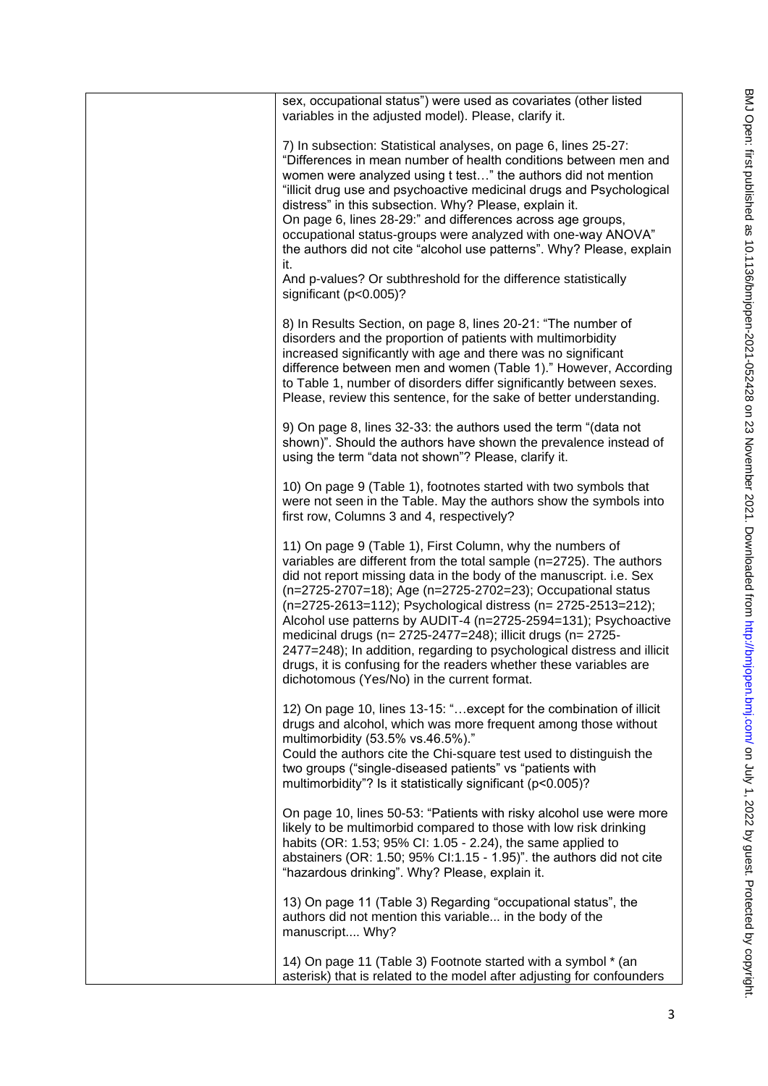| sex, occupational status") were used as covariates (other listed<br>variables in the adjusted model). Please, clarify it.                                                                                                                                                                                                                                                                                                                                                                                                                                                                                                                                                 |
|---------------------------------------------------------------------------------------------------------------------------------------------------------------------------------------------------------------------------------------------------------------------------------------------------------------------------------------------------------------------------------------------------------------------------------------------------------------------------------------------------------------------------------------------------------------------------------------------------------------------------------------------------------------------------|
| 7) In subsection: Statistical analyses, on page 6, lines 25-27:<br>"Differences in mean number of health conditions between men and<br>women were analyzed using t test" the authors did not mention<br>"illicit drug use and psychoactive medicinal drugs and Psychological<br>distress" in this subsection. Why? Please, explain it.<br>On page 6, lines 28-29:" and differences across age groups,<br>occupational status-groups were analyzed with one-way ANOVA"<br>the authors did not cite "alcohol use patterns". Why? Please, explain<br>it.<br>And p-values? Or subthreshold for the difference statistically                                                   |
| significant (p<0.005)?                                                                                                                                                                                                                                                                                                                                                                                                                                                                                                                                                                                                                                                    |
| 8) In Results Section, on page 8, lines 20-21: "The number of<br>disorders and the proportion of patients with multimorbidity<br>increased significantly with age and there was no significant<br>difference between men and women (Table 1)." However, According<br>to Table 1, number of disorders differ significantly between sexes.<br>Please, review this sentence, for the sake of better understanding.                                                                                                                                                                                                                                                           |
| 9) On page 8, lines 32-33: the authors used the term "(data not<br>shown)". Should the authors have shown the prevalence instead of<br>using the term "data not shown"? Please, clarify it.                                                                                                                                                                                                                                                                                                                                                                                                                                                                               |
| 10) On page 9 (Table 1), footnotes started with two symbols that<br>were not seen in the Table. May the authors show the symbols into<br>first row, Columns 3 and 4, respectively?                                                                                                                                                                                                                                                                                                                                                                                                                                                                                        |
| 11) On page 9 (Table 1), First Column, why the numbers of<br>variables are different from the total sample (n=2725). The authors<br>did not report missing data in the body of the manuscript. i.e. Sex<br>(n=2725-2707=18); Age (n=2725-2702=23); Occupational status<br>(n=2725-2613=112); Psychological distress (n= 2725-2513=212);<br>Alcohol use patterns by AUDIT-4 (n=2725-2594=131); Psychoactive<br>medicinal drugs (n= 2725-2477=248); illicit drugs (n= 2725-<br>2477=248); In addition, regarding to psychological distress and illicit<br>drugs, it is confusing for the readers whether these variables are<br>dichotomous (Yes/No) in the current format. |
| 12) On page 10, lines 13-15: " except for the combination of illicit<br>drugs and alcohol, which was more frequent among those without<br>multimorbidity (53.5% vs.46.5%)."<br>Could the authors cite the Chi-square test used to distinguish the<br>two groups ("single-diseased patients" vs "patients with<br>multimorbidity"? Is it statistically significant (p<0.005)?                                                                                                                                                                                                                                                                                              |
| On page 10, lines 50-53: "Patients with risky alcohol use were more<br>likely to be multimorbid compared to those with low risk drinking<br>habits (OR: 1.53; 95% CI: 1.05 - 2.24), the same applied to<br>abstainers (OR: 1.50; $95\%$ CI:1.15 - 1.95)". the authors did not cite<br>"hazardous drinking". Why? Please, explain it.                                                                                                                                                                                                                                                                                                                                      |
| 13) On page 11 (Table 3) Regarding "occupational status", the<br>authors did not mention this variable in the body of the<br>manuscript Why?                                                                                                                                                                                                                                                                                                                                                                                                                                                                                                                              |
| 14) On page 11 (Table 3) Footnote started with a symbol * (an<br>asterisk) that is related to the model after adjusting for confounders                                                                                                                                                                                                                                                                                                                                                                                                                                                                                                                                   |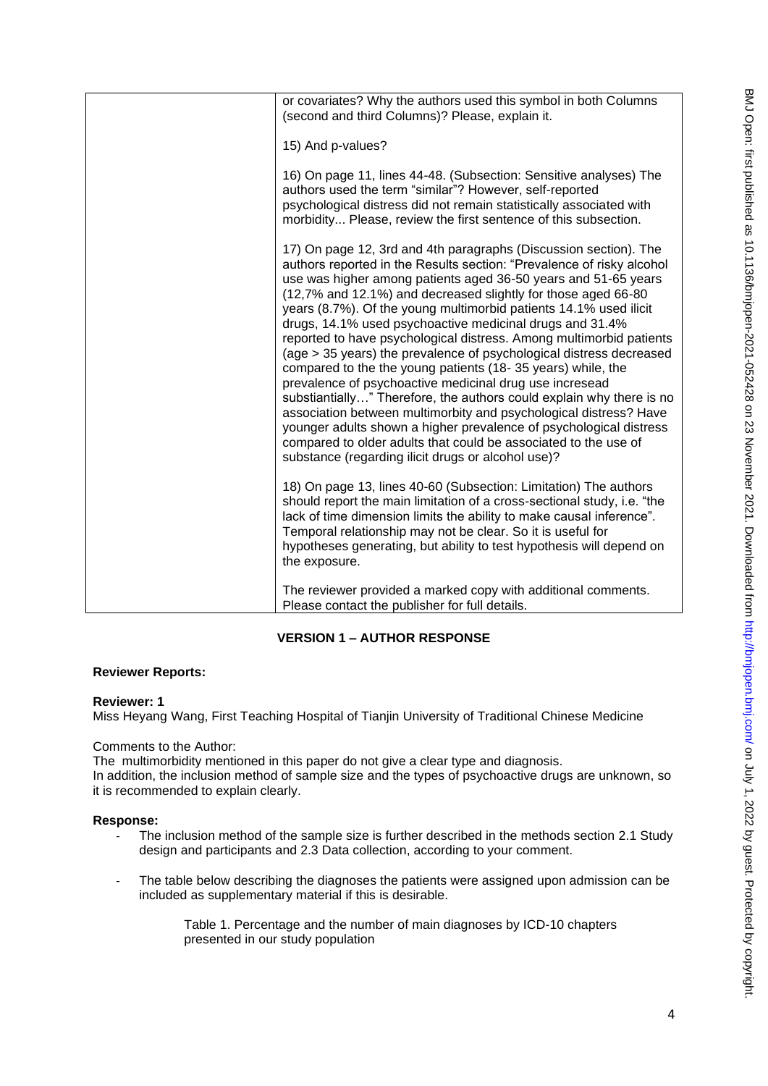| or covariates? Why the authors used this symbol in both Columns<br>(second and third Columns)? Please, explain it.                                                                                                                                                                                                                                                                                                                                                                                                                                                                                                                                                                                                                                                                                                                                                                                                                                                                                                                |
|-----------------------------------------------------------------------------------------------------------------------------------------------------------------------------------------------------------------------------------------------------------------------------------------------------------------------------------------------------------------------------------------------------------------------------------------------------------------------------------------------------------------------------------------------------------------------------------------------------------------------------------------------------------------------------------------------------------------------------------------------------------------------------------------------------------------------------------------------------------------------------------------------------------------------------------------------------------------------------------------------------------------------------------|
| 15) And p-values?                                                                                                                                                                                                                                                                                                                                                                                                                                                                                                                                                                                                                                                                                                                                                                                                                                                                                                                                                                                                                 |
| 16) On page 11, lines 44-48. (Subsection: Sensitive analyses) The<br>authors used the term "similar"? However, self-reported<br>psychological distress did not remain statistically associated with<br>morbidity Please, review the first sentence of this subsection.                                                                                                                                                                                                                                                                                                                                                                                                                                                                                                                                                                                                                                                                                                                                                            |
| 17) On page 12, 3rd and 4th paragraphs (Discussion section). The<br>authors reported in the Results section: "Prevalence of risky alcohol<br>use was higher among patients aged 36-50 years and 51-65 years<br>(12,7% and 12.1%) and decreased slightly for those aged 66-80<br>years (8.7%). Of the young multimorbid patients 14.1% used ilicit<br>drugs, 14.1% used psychoactive medicinal drugs and 31.4%<br>reported to have psychological distress. Among multimorbid patients<br>(age > 35 years) the prevalence of psychological distress decreased<br>compared to the the young patients (18-35 years) while, the<br>prevalence of psychoactive medicinal drug use incresead<br>substiantially" Therefore, the authors could explain why there is no<br>association between multimorbity and psychological distress? Have<br>younger adults shown a higher prevalence of psychological distress<br>compared to older adults that could be associated to the use of<br>substance (regarding ilicit drugs or alcohol use)? |
| 18) On page 13, lines 40-60 (Subsection: Limitation) The authors<br>should report the main limitation of a cross-sectional study, i.e. "the<br>lack of time dimension limits the ability to make causal inference".<br>Temporal relationship may not be clear. So it is useful for<br>hypotheses generating, but ability to test hypothesis will depend on<br>the exposure.                                                                                                                                                                                                                                                                                                                                                                                                                                                                                                                                                                                                                                                       |
| The reviewer provided a marked copy with additional comments.<br>Please contact the publisher for full details.                                                                                                                                                                                                                                                                                                                                                                                                                                                                                                                                                                                                                                                                                                                                                                                                                                                                                                                   |

# **VERSION 1 – AUTHOR RESPONSE**

## **Reviewer Reports:**

## **Reviewer: 1**

Miss Heyang Wang, First Teaching Hospital of Tianjin University of Traditional Chinese Medicine

## Comments to the Author:

The multimorbidity mentioned in this paper do not give a clear type and diagnosis.

In addition, the inclusion method of sample size and the types of psychoactive drugs are unknown, so it is recommended to explain clearly.

## **Response:**

- The inclusion method of the sample size is further described in the methods section 2.1 Study design and participants and 2.3 Data collection, according to your comment.
- The table below describing the diagnoses the patients were assigned upon admission can be included as supplementary material if this is desirable.

Table 1. Percentage and the number of main diagnoses by ICD-10 chapters presented in our study population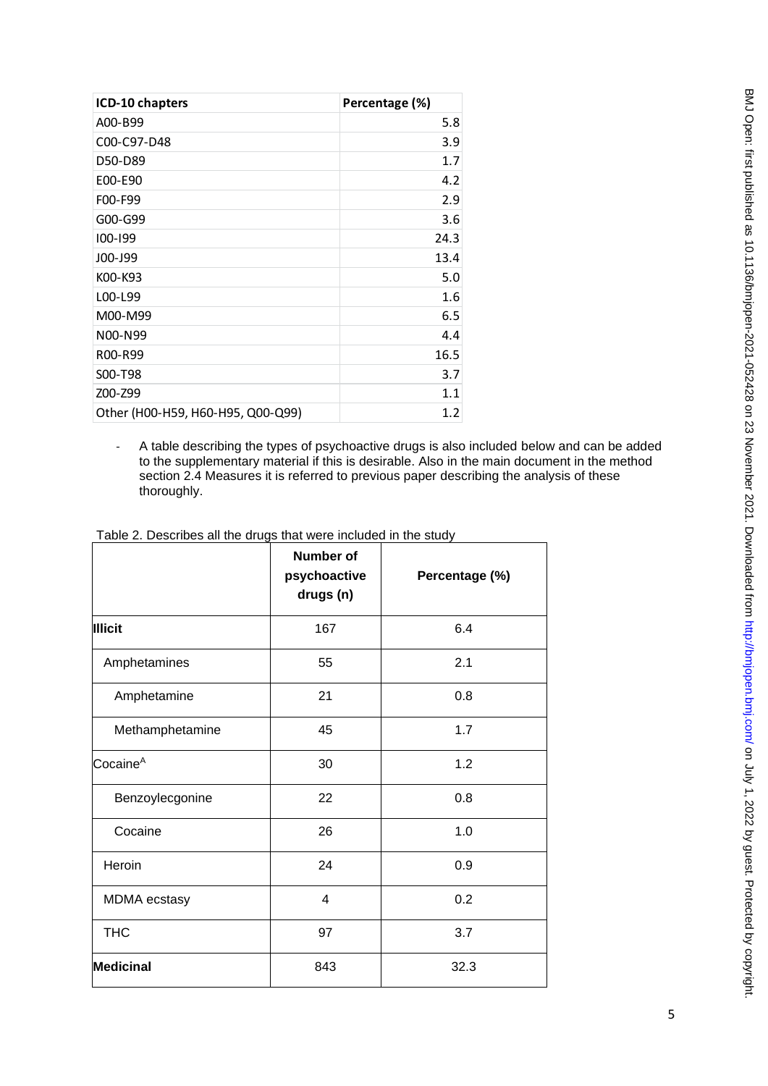| ICD-10 chapters                   | Percentage (%)   |
|-----------------------------------|------------------|
| A00-B99                           | 5.8              |
| C00-C97-D48                       | 3.9              |
| D50-D89                           | 1.7              |
| E00-E90                           | 4.2              |
| F00-F99                           | 2.9              |
| G00-G99                           | 3.6              |
| 100-199                           | 24.3             |
| J00-J99                           | 13.4             |
| K00-K93                           | 5.0              |
| L00-L99                           | 1.6              |
| M00-M99                           | 6.5              |
| N00-N99                           | 4.4              |
| R00-R99                           | 16.5             |
| S00-T98                           | 3.7 <sup>2</sup> |
| Z00-Z99                           | 1.1              |
| Other (H00-H59, H60-H95, Q00-Q99) | 1.2              |

- A table describing the types of psychoactive drugs is also included below and can be added to the supplementary material if this is desirable. Also in the main document in the method section 2.4 Measures it is referred to previous paper describing the analysis of these thoroughly.

|                      | <b>Number of</b><br>psychoactive<br>drugs (n) | Percentage (%) |  |
|----------------------|-----------------------------------------------|----------------|--|
| <b>Illicit</b>       | 167                                           | 6.4            |  |
| Amphetamines         | 55                                            | 2.1            |  |
| Amphetamine          | 21                                            | 0.8            |  |
| Methamphetamine      | 45                                            | 1.7            |  |
| Cocaine <sup>A</sup> | 30                                            | 1.2            |  |
| Benzoylecgonine      | 22                                            | 0.8            |  |
| Cocaine              | 26                                            | 1.0            |  |
| Heroin               | 24                                            | 0.9            |  |
| <b>MDMA</b> ecstasy  | $\overline{4}$                                | 0.2            |  |
| <b>THC</b>           | 97                                            | 3.7            |  |
| <b>Medicinal</b>     | 843                                           | 32.3           |  |

Table 2. Describes all the drugs that were included in the study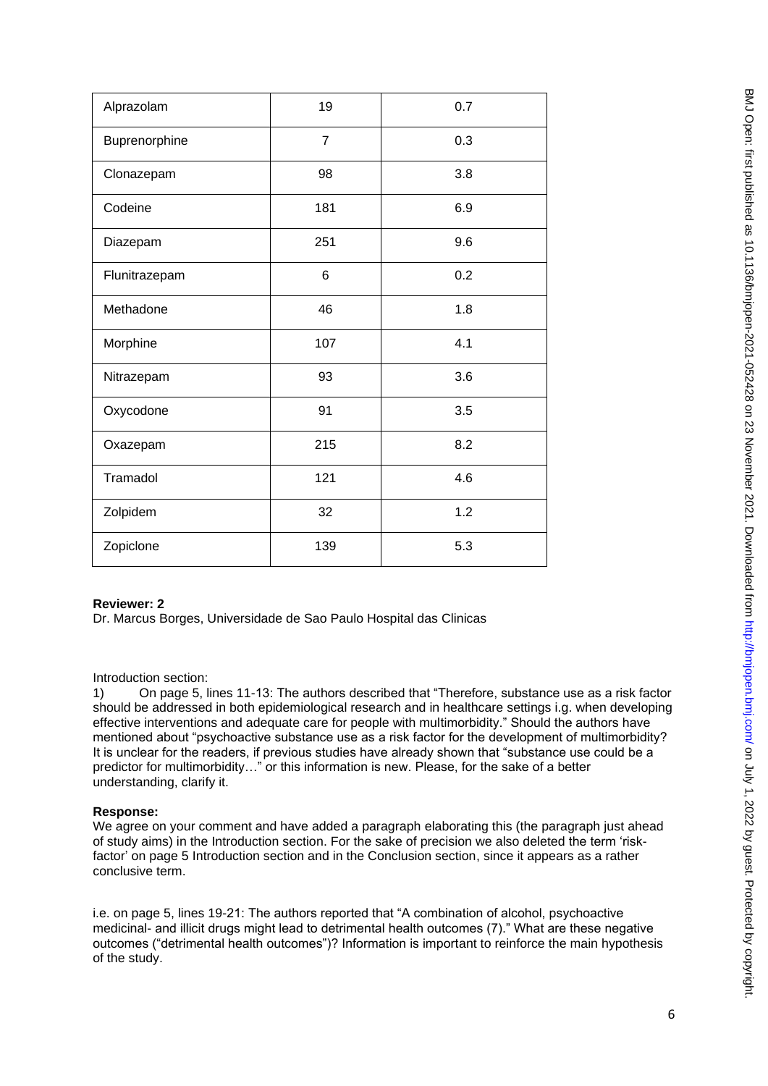| Alprazolam    | 19             | 0.7 |
|---------------|----------------|-----|
| Buprenorphine | $\overline{7}$ | 0.3 |
| Clonazepam    | 98             | 3.8 |
| Codeine       | 181            | 6.9 |
| Diazepam      | 251            | 9.6 |
| Flunitrazepam | 6              | 0.2 |
| Methadone     | 46             | 1.8 |
| Morphine      | 107            | 4.1 |
| Nitrazepam    | 93             | 3.6 |
| Oxycodone     | 91             | 3.5 |
| Oxazepam      | 215            | 8.2 |
| Tramadol      | 121            | 4.6 |
| Zolpidem      | 32             | 1.2 |
| Zopiclone     | 139            | 5.3 |

## **Reviewer: 2**

Dr. Marcus Borges, Universidade de Sao Paulo Hospital das Clinicas

Introduction section:

1) On page 5, lines 11-13: The authors described that "Therefore, substance use as a risk factor should be addressed in both epidemiological research and in healthcare settings i.g. when developing effective interventions and adequate care for people with multimorbidity." Should the authors have mentioned about "psychoactive substance use as a risk factor for the development of multimorbidity? It is unclear for the readers, if previous studies have already shown that "substance use could be a predictor for multimorbidity…" or this information is new. Please, for the sake of a better understanding, clarify it.

## **Response:**

We agree on your comment and have added a paragraph elaborating this (the paragraph just ahead of study aims) in the Introduction section. For the sake of precision we also deleted the term 'riskfactor' on page 5 Introduction section and in the Conclusion section, since it appears as a rather conclusive term.

i.e. on page 5, lines 19-21: The authors reported that "A combination of alcohol, psychoactive medicinal- and illicit drugs might lead to detrimental health outcomes (7)." What are these negative outcomes ("detrimental health outcomes")? Information is important to reinforce the main hypothesis of the study.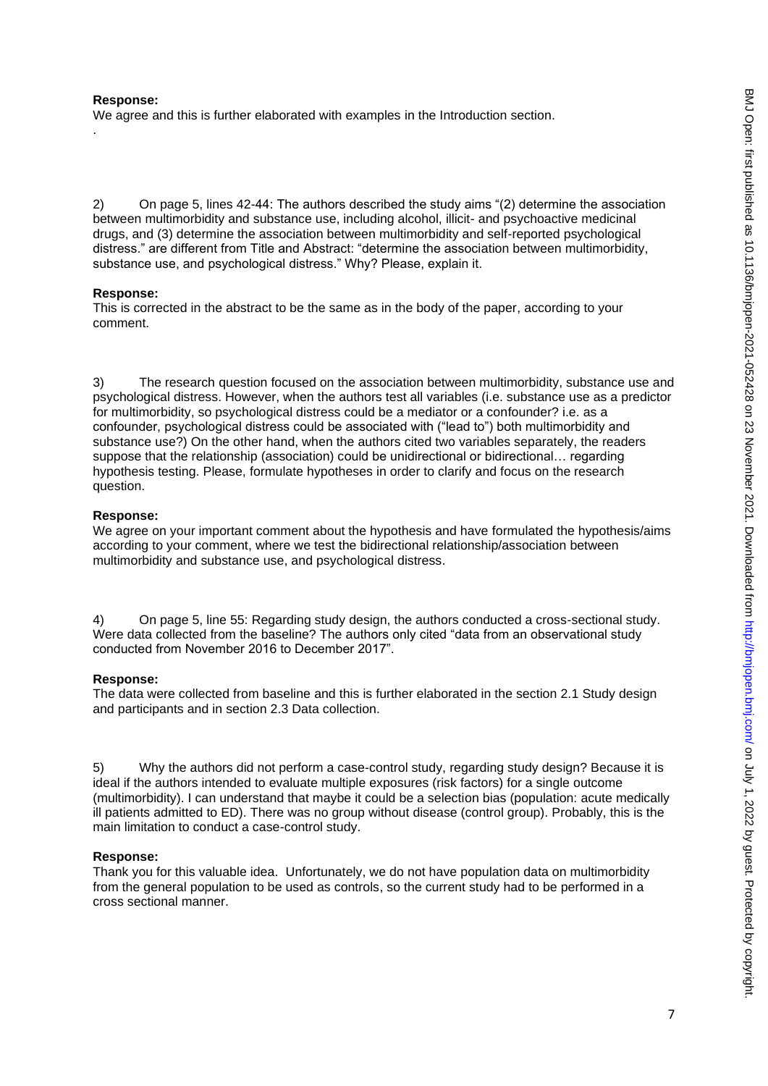### **Response:**

.

We agree and this is further elaborated with examples in the Introduction section.

2) On page 5, lines 42-44: The authors described the study aims "(2) determine the association between multimorbidity and substance use, including alcohol, illicit- and psychoactive medicinal drugs, and (3) determine the association between multimorbidity and self-reported psychological distress." are different from Title and Abstract: "determine the association between multimorbidity, substance use, and psychological distress." Why? Please, explain it.

### **Response:**

This is corrected in the abstract to be the same as in the body of the paper, according to your comment.

3) The research question focused on the association between multimorbidity, substance use and psychological distress. However, when the authors test all variables (i.e. substance use as a predictor for multimorbidity, so psychological distress could be a mediator or a confounder? i.e. as a confounder, psychological distress could be associated with ("lead to") both multimorbidity and substance use?) On the other hand, when the authors cited two variables separately, the readers suppose that the relationship (association) could be unidirectional or bidirectional… regarding hypothesis testing. Please, formulate hypotheses in order to clarify and focus on the research question.

### **Response:**

We agree on your important comment about the hypothesis and have formulated the hypothesis/aims according to your comment, where we test the bidirectional relationship/association between multimorbidity and substance use, and psychological distress.

4) On page 5, line 55: Regarding study design, the authors conducted a cross-sectional study. Were data collected from the baseline? The authors only cited "data from an observational study conducted from November 2016 to December 2017".

## **Response:**

The data were collected from baseline and this is further elaborated in the section 2.1 Study design and participants and in section 2.3 Data collection.

5) Why the authors did not perform a case-control study, regarding study design? Because it is ideal if the authors intended to evaluate multiple exposures (risk factors) for a single outcome (multimorbidity). I can understand that maybe it could be a selection bias (population: acute medically ill patients admitted to ED). There was no group without disease (control group). Probably, this is the main limitation to conduct a case-control study.

#### **Response:**

Thank you for this valuable idea. Unfortunately, we do not have population data on multimorbidity from the general population to be used as controls, so the current study had to be performed in a cross sectional manner.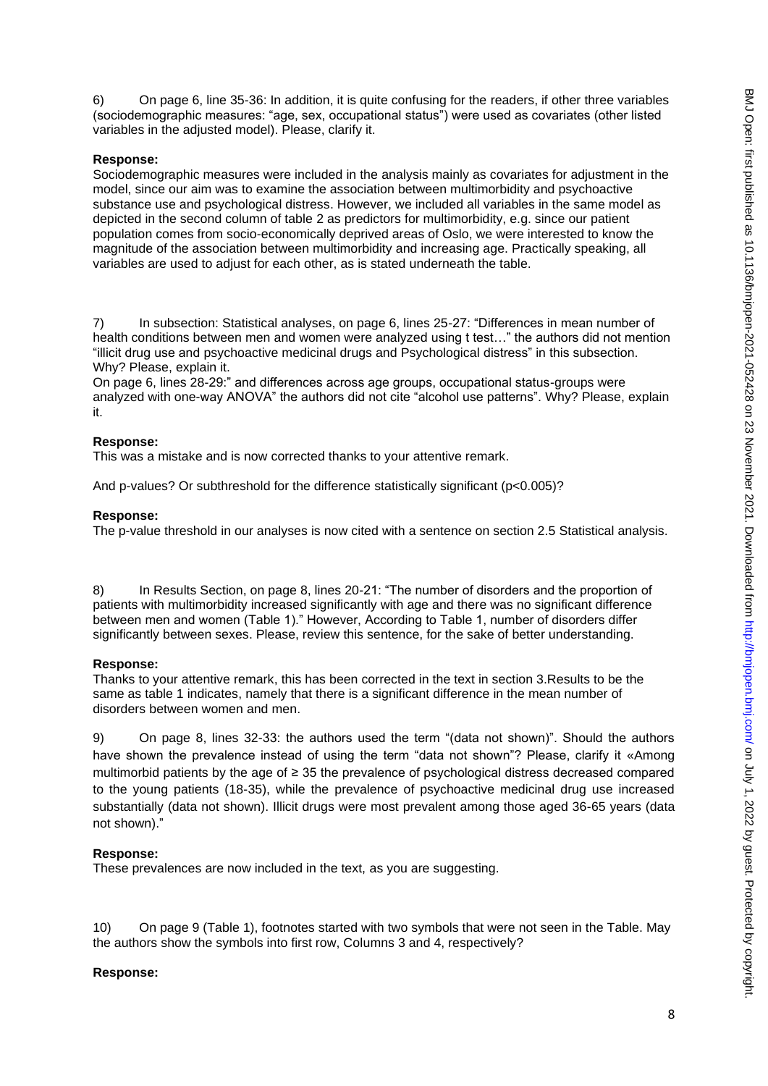6) On page 6, line 35-36: In addition, it is quite confusing for the readers, if other three variables (sociodemographic measures: "age, sex, occupational status") were used as covariates (other listed variables in the adjusted model). Please, clarify it.

#### **Response:**

Sociodemographic measures were included in the analysis mainly as covariates for adjustment in the model, since our aim was to examine the association between multimorbidity and psychoactive substance use and psychological distress. However, we included all variables in the same model as depicted in the second column of table 2 as predictors for multimorbidity, e.g. since our patient population comes from socio-economically deprived areas of Oslo, we were interested to know the magnitude of the association between multimorbidity and increasing age. Practically speaking, all variables are used to adjust for each other, as is stated underneath the table.

7) In subsection: Statistical analyses, on page 6, lines 25-27: "Differences in mean number of health conditions between men and women were analyzed using t test…" the authors did not mention "illicit drug use and psychoactive medicinal drugs and Psychological distress" in this subsection. Why? Please, explain it.

On page 6, lines 28-29:" and differences across age groups, occupational status-groups were analyzed with one-way ANOVA" the authors did not cite "alcohol use patterns". Why? Please, explain it.

### **Response:**

This was a mistake and is now corrected thanks to your attentive remark.

And p-values? Or subthreshold for the difference statistically significant (p<0.005)?

### **Response:**

The p-value threshold in our analyses is now cited with a sentence on section 2.5 Statistical analysis.

8) In Results Section, on page 8, lines 20-21: "The number of disorders and the proportion of patients with multimorbidity increased significantly with age and there was no significant difference between men and women (Table 1)." However, According to Table 1, number of disorders differ significantly between sexes. Please, review this sentence, for the sake of better understanding.

## **Response:**

Thanks to your attentive remark, this has been corrected in the text in section 3.Results to be the same as table 1 indicates, namely that there is a significant difference in the mean number of disorders between women and men.

9) On page 8, lines 32-33: the authors used the term "(data not shown)". Should the authors have shown the prevalence instead of using the term "data not shown"? Please, clarify it «Among multimorbid patients by the age of ≥ 35 the prevalence of psychological distress decreased compared to the young patients (18-35), while the prevalence of psychoactive medicinal drug use increased substantially (data not shown). Illicit drugs were most prevalent among those aged 36-65 years (data not shown)."

## **Response:**

These prevalences are now included in the text, as you are suggesting.

10) On page 9 (Table 1), footnotes started with two symbols that were not seen in the Table. May the authors show the symbols into first row, Columns 3 and 4, respectively?

# **Response:**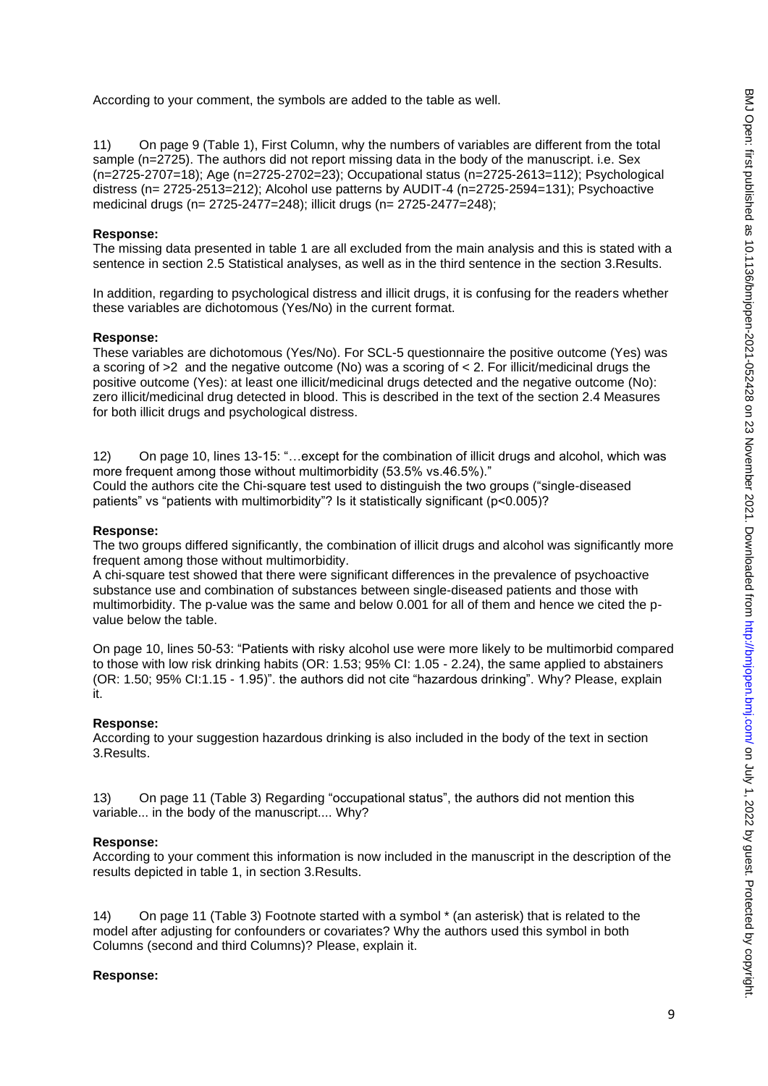According to your comment, the symbols are added to the table as well.

11) On page 9 (Table 1), First Column, why the numbers of variables are different from the total sample (n=2725). The authors did not report missing data in the body of the manuscript. i.e. Sex (n=2725-2707=18); Age (n=2725-2702=23); Occupational status (n=2725-2613=112); Psychological distress (n= 2725-2513=212); Alcohol use patterns by AUDIT-4 (n=2725-2594=131); Psychoactive medicinal drugs (n= 2725-2477=248); illicit drugs (n= 2725-2477=248);

#### **Response:**

The missing data presented in table 1 are all excluded from the main analysis and this is stated with a sentence in section 2.5 Statistical analyses, as well as in the third sentence in the section 3.Results.

In addition, regarding to psychological distress and illicit drugs, it is confusing for the readers whether these variables are dichotomous (Yes/No) in the current format.

#### **Response:**

These variables are dichotomous (Yes/No). For SCL-5 questionnaire the positive outcome (Yes) was a scoring of >2 and the negative outcome (No) was a scoring of < 2. For illicit/medicinal drugs the positive outcome (Yes): at least one illicit/medicinal drugs detected and the negative outcome (No): zero illicit/medicinal drug detected in blood. This is described in the text of the section 2.4 Measures for both illicit drugs and psychological distress.

12) On page 10, lines 13-15: "…except for the combination of illicit drugs and alcohol, which was more frequent among those without multimorbidity (53.5% vs.46.5%)." Could the authors cite the Chi-square test used to distinguish the two groups ("single-diseased patients" vs "patients with multimorbidity"? Is it statistically significant (p<0.005)?

#### **Response:**

The two groups differed significantly, the combination of illicit drugs and alcohol was significantly more frequent among those without multimorbidity.

A chi-square test showed that there were significant differences in the prevalence of psychoactive substance use and combination of substances between single-diseased patients and those with multimorbidity. The p-value was the same and below 0.001 for all of them and hence we cited the pvalue below the table.

On page 10, lines 50-53: "Patients with risky alcohol use were more likely to be multimorbid compared to those with low risk drinking habits (OR: 1.53; 95% CI: 1.05 - 2.24), the same applied to abstainers (OR: 1.50; 95% CI:1.15 - 1.95)". the authors did not cite "hazardous drinking". Why? Please, explain it.

#### **Response:**

According to your suggestion hazardous drinking is also included in the body of the text in section 3.Results.

13) On page 11 (Table 3) Regarding "occupational status", the authors did not mention this variable... in the body of the manuscript.... Why?

### **Response:**

According to your comment this information is now included in the manuscript in the description of the results depicted in table 1, in section 3.Results.

14) On page 11 (Table 3) Footnote started with a symbol \* (an asterisk) that is related to the model after adjusting for confounders or covariates? Why the authors used this symbol in both Columns (second and third Columns)? Please, explain it.

#### **Response:**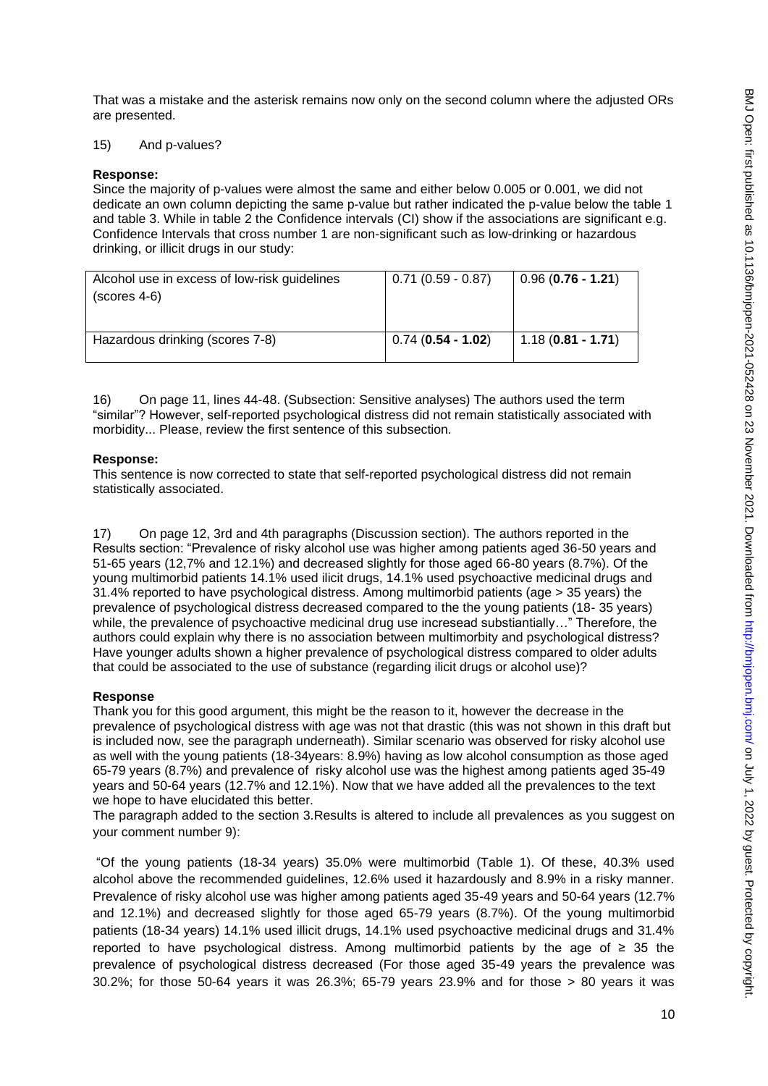That was a mistake and the asterisk remains now only on the second column where the adjusted ORs are presented.

#### 15) And p-values?

#### **Response:**

Since the majority of p-values were almost the same and either below 0.005 or 0.001, we did not dedicate an own column depicting the same p-value but rather indicated the p-value below the table 1 and table 3. While in table 2 the Confidence intervals (CI) show if the associations are significant e.g. Confidence Intervals that cross number 1 are non-significant such as low-drinking or hazardous drinking, or illicit drugs in our study:

| Alcohol use in excess of low-risk guidelines<br>$(scores 4-6)$ | $0.71(0.59 - 0.87)$ | $0.96(0.76 - 1.21)$ |
|----------------------------------------------------------------|---------------------|---------------------|
| Hazardous drinking (scores 7-8)                                | $0.74(0.54 - 1.02)$ | $1.18(0.81 - 1.71)$ |

16) On page 11, lines 44-48. (Subsection: Sensitive analyses) The authors used the term "similar"? However, self-reported psychological distress did not remain statistically associated with morbidity... Please, review the first sentence of this subsection.

#### **Response:**

This sentence is now corrected to state that self-reported psychological distress did not remain statistically associated.

17) On page 12, 3rd and 4th paragraphs (Discussion section). The authors reported in the Results section: "Prevalence of risky alcohol use was higher among patients aged 36-50 years and 51-65 years (12,7% and 12.1%) and decreased slightly for those aged 66-80 years (8.7%). Of the young multimorbid patients 14.1% used ilicit drugs, 14.1% used psychoactive medicinal drugs and 31.4% reported to have psychological distress. Among multimorbid patients (age > 35 years) the prevalence of psychological distress decreased compared to the the young patients (18- 35 years) while, the prevalence of psychoactive medicinal drug use incresead substiantially…" Therefore, the authors could explain why there is no association between multimorbity and psychological distress? Have younger adults shown a higher prevalence of psychological distress compared to older adults that could be associated to the use of substance (regarding ilicit drugs or alcohol use)?

### **Response**

Thank you for this good argument, this might be the reason to it, however the decrease in the prevalence of psychological distress with age was not that drastic (this was not shown in this draft but is included now, see the paragraph underneath). Similar scenario was observed for risky alcohol use as well with the young patients (18-34years: 8.9%) having as low alcohol consumption as those aged 65-79 years (8.7%) and prevalence of risky alcohol use was the highest among patients aged 35-49 years and 50-64 years (12.7% and 12.1%). Now that we have added all the prevalences to the text we hope to have elucidated this better.

The paragraph added to the section 3.Results is altered to include all prevalences as you suggest on your comment number 9):

"Of the young patients (18-34 years) 35.0% were multimorbid (Table 1). Of these, 40.3% used alcohol above the recommended guidelines, 12.6% used it hazardously and 8.9% in a risky manner. Prevalence of risky alcohol use was higher among patients aged 35-49 years and 50-64 years (12.7% and 12.1%) and decreased slightly for those aged 65-79 years (8.7%). Of the young multimorbid patients (18-34 years) 14.1% used illicit drugs, 14.1% used psychoactive medicinal drugs and 31.4% reported to have psychological distress. Among multimorbid patients by the age of  $\geq 35$  the prevalence of psychological distress decreased (For those aged 35-49 years the prevalence was 30.2%; for those 50-64 years it was 26.3%; 65-79 years 23.9% and for those > 80 years it was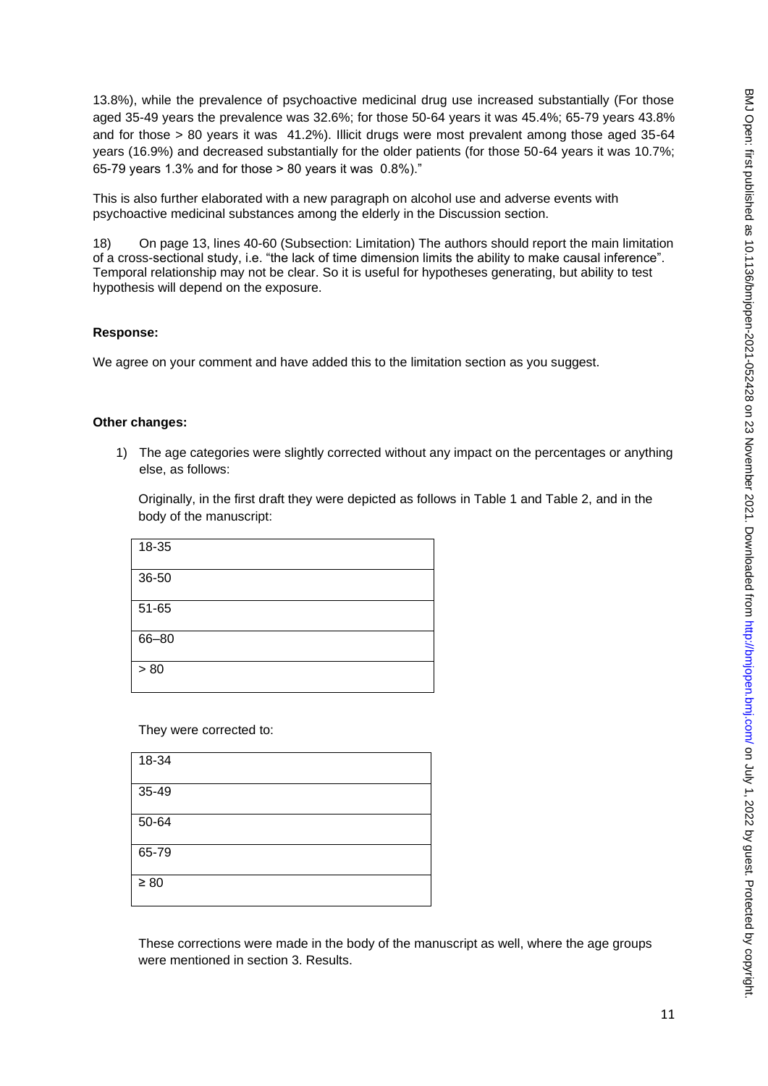13.8%), while the prevalence of psychoactive medicinal drug use increased substantially (For those aged 35-49 years the prevalence was 32.6%; for those 50-64 years it was 45.4%; 65-79 years 43.8% and for those > 80 years it was 41.2%). Illicit drugs were most prevalent among those aged 35-64 years (16.9%) and decreased substantially for the older patients (for those 50-64 years it was 10.7%; 65-79 years 1.3% and for those > 80 years it was 0.8%)."

This is also further elaborated with a new paragraph on alcohol use and adverse events with psychoactive medicinal substances among the elderly in the Discussion section.

18) On page 13, lines 40-60 (Subsection: Limitation) The authors should report the main limitation of a cross-sectional study, i.e. "the lack of time dimension limits the ability to make causal inference". Temporal relationship may not be clear. So it is useful for hypotheses generating, but ability to test hypothesis will depend on the exposure.

## **Response:**

We agree on your comment and have added this to the limitation section as you suggest.

## **Other changes:**

1) The age categories were slightly corrected without any impact on the percentages or anything else, as follows:

Originally, in the first draft they were depicted as follows in Table 1 and Table 2, and in the body of the manuscript:

| 18-35 |  |  |  |
|-------|--|--|--|
| 36-50 |  |  |  |
| 51-65 |  |  |  |
| 66-80 |  |  |  |
| > 80  |  |  |  |

They were corrected to:

| 18-34     |  |  |  |
|-----------|--|--|--|
| 35-49     |  |  |  |
| 50-64     |  |  |  |
| 65-79     |  |  |  |
| $\geq 80$ |  |  |  |

These corrections were made in the body of the manuscript as well, where the age groups were mentioned in section 3. Results.